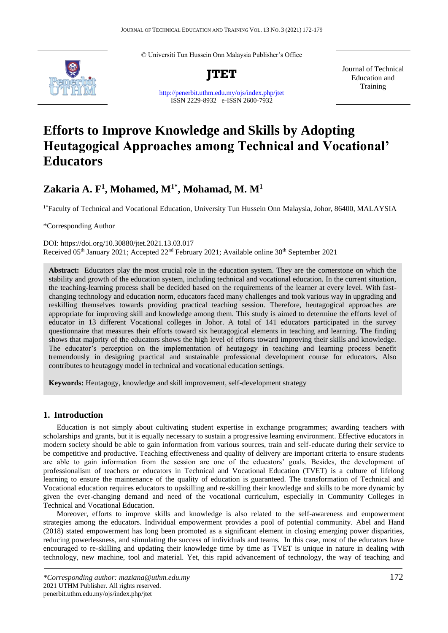© Universiti Tun Hussein Onn Malaysia Publisher's Office



**JTET**

<http://penerbit.uthm.edu.my/ojs/index.php/jtet> ISSN 2229-8932 e-ISSN 2600-7932

Journal of Technical Education and Training

# **Efforts to Improve Knowledge and Skills by Adopting Heutagogical Approaches among Technical and Vocational' Educators**

# **Zakaria A. F<sup>1</sup> , Mohamed, M1\*, Mohamad, M. M<sup>1</sup>**

<sup>1\*</sup>Faculty of Technical and Vocational Education, University Tun Hussein Onn Malaysia, Johor, 86400, MALAYSIA

\*Corresponding Author

DOI: https://doi.org/10.30880/jtet.2021.13.03.017 Received 05<sup>th</sup> January 2021; Accepted 22<sup>nd</sup> February 2021; Available online 30<sup>th</sup> September 2021

**Abstract:** Educators play the most crucial role in the education system. They are the cornerstone on which the stability and growth of the education system, including technical and vocational education. In the current situation, the teaching-learning process shall be decided based on the requirements of the learner at every level. With fastchanging technology and education norm, educators faced many challenges and took various way in upgrading and reskilling themselves towards providing practical teaching session. Therefore, heutagogical approaches are appropriate for improving skill and knowledge among them. This study is aimed to determine the efforts level of educator in 13 different Vocational colleges in Johor. A total of 141 educators participated in the survey questionnaire that measures their efforts toward six heutagogical elements in teaching and learning. The finding shows that majority of the educators shows the high level of efforts toward improving their skills and knowledge. The educator's perception on the implementation of heutagogy in teaching and learning process benefit tremendously in designing practical and sustainable professional development course for educators. Also contributes to heutagogy model in technical and vocational education settings.

**Keywords:** Heutagogy, knowledge and skill improvement, self-development strategy

### **1. Introduction**

Education is not simply about cultivating student expertise in exchange programmes; awarding teachers with scholarships and grants, but it is equally necessary to sustain a progressive learning environment. Effective educators in modern society should be able to gain information from various sources, train and self-educate during their service to be competitive and productive. Teaching effectiveness and quality of delivery are important criteria to ensure students are able to gain information from the session are one of the educators' goals. Besides, the development of professionalism of teachers or educators in Technical and Vocational Education (TVET) is a culture of lifelong learning to ensure the maintenance of the quality of education is guaranteed. The transformation of Technical and Vocational education requires educators to upskilling and re-skilling their knowledge and skills to be more dynamic by given the ever-changing demand and need of the vocational curriculum, especially in Community Colleges in Technical and Vocational Education.

Moreover, efforts to improve skills and knowledge is also related to the self-awareness and empowerment strategies among the educators. Individual empowerment provides a pool of potential community. Abel and Hand (2018) stated empowerment has long been promoted as a significant element in closing emerging power disparities, reducing powerlessness, and stimulating the success of individuals and teams. In this case, most of the educators have encouraged to re-skilling and updating their knowledge time by time as TVET is unique in nature in dealing with technology, new machine, tool and material. Yet, this rapid advancement of technology, the way of teaching and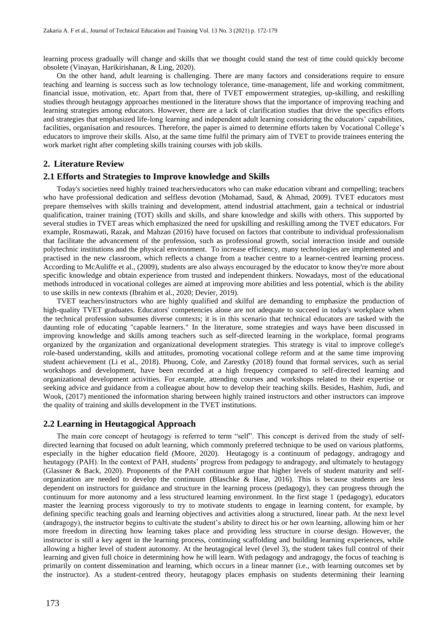learning process gradually will change and skills that we thought could stand the test of time could quickly become obsolete (Vinayan, Harikirishanan, & Ling, 2020).

On the other hand, adult learning is challenging. There are many factors and considerations require to ensure teaching and learning is success such as low technology tolerance, time-management, life and working commitment, financial issue, motivation, etc. Apart from that, there of TVET empowerment strategies, up-skilling, and reskilling studies through heutagogy approaches mentioned in the literature shows that the importance of improving teaching and learning strategies among educators. However, there are a lack of clarification studies that drive the specifics efforts and strategies that emphasized life-long learning and independent adult learning considering the educators' capabilities, facilities, organisation and resources. Therefore, the paper is aimed to determine efforts taken by Vocational College's educators to improve their skills. Also, at the same time fulfil the primary aim of TVET to provide trainees entering the work market right after completing skills training courses with job skills.

#### **2. Literature Review**

#### **2.1 Efforts and Strategies to Improve knowledge and Skills**

Today's societies need highly trained teachers/educators who can make education vibrant and compelling; teachers who have professional dedication and selfless devotion (Mohamad, Saud, & Ahmad, 2009). TVET educators must prepare themselves with skills training and development, attend industrial attachment, gain a technical or industrial qualification, trainer training (TOT) skills and skills, and share knowledge and skills with others. This supported by several studies in TVET areas which emphasized the need for upskilling and reskilling among the TVET educators. For example, Rosmawati, Razak, and Mahzan (2016) have focused on factors that contribute to individual professionalism that facilitate the advancement of the profession, such as professional growth, social interaction inside and outside polytechnic institutions and the physical environment. To increase efficiency, many technologies are implemented and practised in the new classroom, which reflects a change from a teacher centre to a learner-centred learning process. According to McAuliffe et al., (2009), students are also always encouraged by the educator to know they're more about specific knowledge and obtain experience from trusted and independent thinkers. Nowadays, most of the educational methods introduced in vocational colleges are aimed at improving more abilities and less potential, which is the ability to use skills in new contexts (Ibrahim et al., 2020; Devier, 2019).

TVET teachers/instructors who are highly qualified and skilful are demanding to emphasize the production of high-quality TVET graduates. Educators' competencies alone are not adequate to succeed in today's workplace when the technical profession subsumes diverse contexts; it is in this scenario that technical educators are tasked with the daunting role of educating "capable learners." In the literature, some strategies and ways have been discussed in improving knowledge and skills among teachers such as self-directed learning in the workplace, formal programs organized by the organization and organizational development strategies. This strategy is vital to improve college's role-based understanding, skills and attitudes, promoting vocational college reform and at the same time improving student achievement (Li et al., 2018). Phuong, Cole, and Zarestky (2018) found that formal services, such as serial workshops and development, have been recorded at a high frequency compared to self-directed learning and organizational development activities. For example, attending courses and workshops related to their expertise or seeking advice and guidance from a colleague about how to develop their teaching skills. Besides, Hashim, Judi, and Wook, (2017) mentioned the information sharing between highly trained instructors and other instructors can improve the quality of training and skills development in the TVET institutions.

#### **2.2 Learning in Heutagogical Approach**

The main core concept of heutagogy is referred to term "self". This concept is derived from the study of selfdirected learning that focused on adult learning, which commonly preferred technique to be used on various platforms, especially in the higher education field (Moore, 2020). Heutagogy is a continuum of pedagogy, andragogy and heutagogy (PAH). In the context of PAH, students' progress from pedagogy to andragogy, and ultimately to heutagogy (Glassner & Back, 2020). Proponents of the PAH continuum argue that higher levels of student maturity and selforganization are needed to develop the continuum (Blaschke  $\&$  Hase, 2016). This is because students are less dependent on instructors for guidance and structure in the learning process (pedagogy), they can progress through the continuum for more autonomy and a less structured learning environment. In the first stage 1 (pedagogy), educators master the learning process vigorously to try to motivate students to engage in learning content, for example, by defining specific teaching goals and learning objectives and activities along a structured, linear path. At the next level (andragogy), the instructor begins to cultivate the student's ability to direct his or her own learning, allowing him or her more freedom in directing how learning takes place and providing less structure in course design. However, the instructor is still a key agent in the learning process, continuing scaffolding and building learning experiences, while allowing a higher level of student autonomy. At the heutagogical level (level 3), the student takes full control of their learning and given full choice in determining how he will learn. With pedagogy and andragogy, the focus of teaching is primarily on content dissemination and learning, which occurs in a linear manner (i.e., with learning outcomes set by the instructor). As a student-centred theory, heutagogy places emphasis on students determining their learning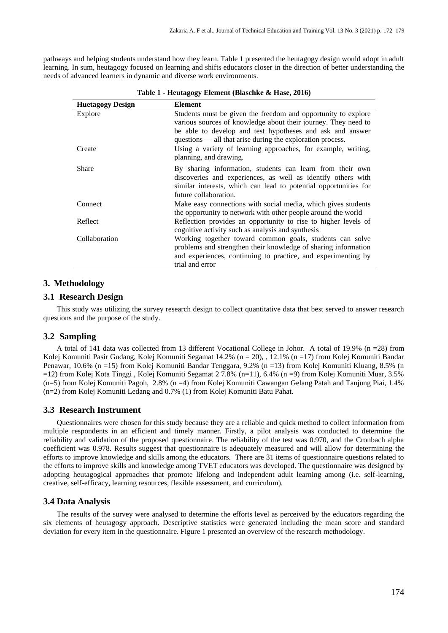pathways and helping students understand how they learn. Table 1 presented the heutagogy design would adopt in adult learning. In sum, heutagogy focused on learning and shifts educators closer in the direction of better understanding the needs of advanced learners in dynamic and diverse work environments.

| <b>Huetagogy Design</b> | Element                                                                                                                                                                                                                                                    |
|-------------------------|------------------------------------------------------------------------------------------------------------------------------------------------------------------------------------------------------------------------------------------------------------|
| Explore                 | Students must be given the freedom and opportunity to explore<br>various sources of knowledge about their journey. They need to<br>be able to develop and test hypotheses and ask and answer<br>questions — all that arise during the exploration process. |
| Create                  | Using a variety of learning approaches, for example, writing,<br>planning, and drawing.                                                                                                                                                                    |
| Share                   | By sharing information, students can learn from their own<br>discoveries and experiences, as well as identify others with<br>similar interests, which can lead to potential opportunities for<br>future collaboration.                                     |
| <b>Connect</b>          | Make easy connections with social media, which gives students<br>the opportunity to network with other people around the world                                                                                                                             |
| Reflect                 | Reflection provides an opportunity to rise to higher levels of<br>cognitive activity such as analysis and synthesis                                                                                                                                        |
| Collaboration           | Working together toward common goals, students can solve<br>problems and strengthen their knowledge of sharing information<br>and experiences, continuing to practice, and experimenting by<br>trial and error                                             |

**Table 1 - Heutagogy Element (Blaschke & Hase, 2016)**

## **3. Methodology**

#### **3.1 Research Design**

This study was utilizing the survey research design to collect quantitative data that best served to answer research questions and the purpose of the study.

#### **3.2 Sampling**

A total of 141 data was collected from 13 different Vocational College in Johor. A total of 19.9% (n =28) from Kolej Komuniti Pasir Gudang, Kolej Komuniti Segamat 14.2% (n = 20), , 12.1% (n =17) from Kolej Komuniti Bandar Penawar, 10.6% (n =15) from Kolej Komuniti Bandar Tenggara, 9.2% (n =13) from Kolej Komuniti Kluang, 8.5% (n =12) from Kolej Kota Tinggi , Kolej Komuniti Segamat 2 7.8% (n=11), 6.4% (n =9) from Kolej Komuniti Muar, 3.5% (n=5) from Kolej Komuniti Pagoh, 2.8% (n =4) from Kolej Komuniti Cawangan Gelang Patah and Tanjung Piai, 1.4% (n=2) from Kolej Komuniti Ledang and 0.7% (1) from Kolej Komuniti Batu Pahat.

#### **3.3 Research Instrument**

Questionnaires were chosen for this study because they are a reliable and quick method to collect information from multiple respondents in an efficient and timely manner. Firstly, a pilot analysis was conducted to determine the reliability and validation of the proposed questionnaire. The reliability of the test was 0.970, and the Cronbach alpha coefficient was 0.978. Results suggest that questionnaire is adequately measured and will allow for determining the efforts to improve knowledge and skills among the educators. There are 31 items of questionnaire questions related to the efforts to improve skills and knowledge among TVET educators was developed. The questionnaire was designed by adopting heutagogical approaches that promote lifelong and independent adult learning among (i.e. self-learning, creative, self-efficacy, learning resources, flexible assessment, and curriculum).

#### **3.4 Data Analysis**

The results of the survey were analysed to determine the efforts level as perceived by the educators regarding the six elements of heutagogy approach. Descriptive statistics were generated including the mean score and standard deviation for every item in the questionnaire. Figure 1 presented an overview of the research methodology.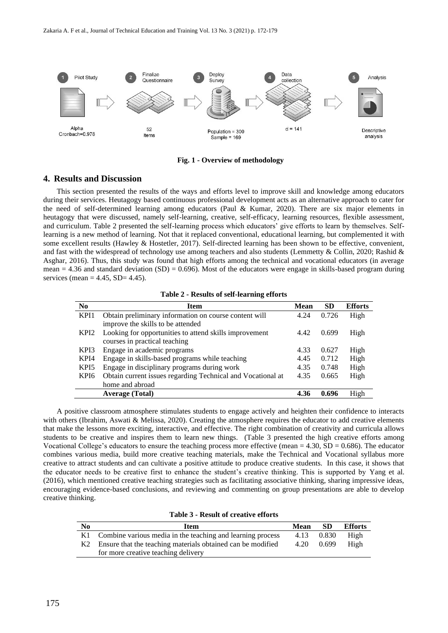

**Fig. 1 - Overview of methodology**

#### **4. Results and Discussion**

This section presented the results of the ways and efforts level to improve skill and knowledge among educators during their services. Heutagogy based continuous professional development acts as an alternative approach to cater for the need of self-determined learning among educators (Paul & Kumar, 2020). There are six major elements in heutagogy that were discussed, namely self-learning, creative, self-efficacy, learning resources, flexible assessment, and curriculum. Table 2 presented the self-learning process which educators' give efforts to learn by themselves. Selflearning is a new method of learning. Not that it replaced conventional, educational learning, but complemented it with some excellent results (Hawley & Hostetler, 2017). Self-directed learning has been shown to be effective, convenient, and fast with the widespread of technology use among teachers and also students (Lemmetty & Collin, 2020; Rashid & Asghar, 2016). Thus, this study was found that high efforts among the technical and vocational educators (in average mean  $= 4.36$  and standard deviation (SD) = 0.696). Most of the educators were engage in skills-based program during services (mean  $= 4.45$ , SD $= 4.45$ ).

| N <sub>0</sub>   | <b>Item</b>                                                 | <b>Mean</b> | SD    | <b>Efforts</b> |
|------------------|-------------------------------------------------------------|-------------|-------|----------------|
| KPI1             | Obtain preliminary information on course content will       | 4.24        | 0.726 | High           |
|                  | improve the skills to be attended                           |             |       |                |
| KPI <sub>2</sub> | Looking for opportunities to attend skills improvement      | 4.42        | 0.699 | High           |
|                  | courses in practical teaching                               |             |       |                |
| KPI3             | Engage in academic programs                                 | 4.33        | 0.627 | High           |
| KPI4             | Engage in skills-based programs while teaching              | 4.45        | 0.712 | High           |
| KPI5             | Engage in disciplinary programs during work                 | 4.35        | 0.748 | High           |
| KPI6             | Obtain current issues regarding Technical and Vocational at | 4.35        | 0.665 | High           |
|                  | home and abroad                                             |             |       |                |
|                  | <b>Average (Total)</b>                                      | 4.36        | 0.696 | High           |

A positive classroom atmosphere stimulates students to engage actively and heighten their confidence to interacts with others (Ibrahim, Aswati & Melissa, 2020). Creating the atmosphere requires the educator to add creative elements that make the lessons more exciting, interactive, and effective. The right combination of creativity and curricula allows students to be creative and inspires them to learn new things. (Table 3 presented the high creative efforts among Vocational College's educators to ensure the teaching process more effective (mean  $= 4.30$ , SD  $= 0.686$ ). The educator combines various media, build more creative teaching materials, make the Technical and Vocational syllabus more creative to attract students and can cultivate a positive attitude to produce creative students. In this case, it shows that the educator needs to be creative first to enhance the student's creative thinking. This is supported by Yang et al. (2016), which mentioned creative teaching strategies such as facilitating associative thinking, sharing impressive ideas, encouraging evidence-based conclusions, and reviewing and commenting on group presentations are able to develop creative thinking.

#### **Table 3 - Result of creative efforts**

| N <sub>0</sub> | Item                                                          | <b>Mean</b> | <b>SD</b>  | <b>Efforts</b> |
|----------------|---------------------------------------------------------------|-------------|------------|----------------|
|                | K1 Combine various media in the teaching and learning process | 4.13        | 0.830      | High           |
|                | Ensure that the teaching materials obtained can be modified   |             | 4.20 0.699 | High           |
|                | for more creative teaching delivery                           |             |            |                |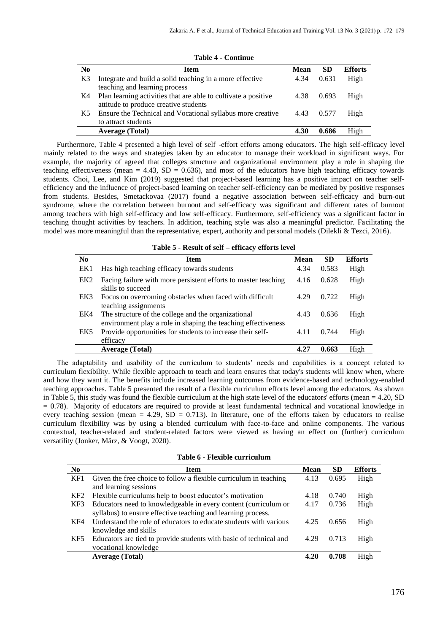| No             | <b>Item</b>                                                    | Mean | SD    | <b>Efforts</b> |
|----------------|----------------------------------------------------------------|------|-------|----------------|
| K <sub>3</sub> | Integrate and build a solid teaching in a more effective       | 4.34 | 0.631 | High           |
|                | teaching and learning process                                  |      |       |                |
| K4             | Plan learning activities that are able to cultivate a positive | 4.38 | 0.693 | High           |
|                | attitude to produce creative students                          |      |       |                |
| K5.            | Ensure the Technical and Vocational syllabus more creative     | 4.43 | 0.577 | High           |
|                | to attract students                                            |      |       |                |
|                | <b>Average (Total)</b>                                         | 4.30 | 0.686 | High           |

**Table 4 - Continue**

Furthermore, Table 4 presented a high level of self -effort efforts among educators. The high self-efficacy level mainly related to the ways and strategies taken by an educator to manage their workload in significant ways. For example, the majority of agreed that colleges structure and organizational environment play a role in shaping the teaching effectiveness (mean  $= 4.43$ , SD  $= 0.636$ ), and most of the educators have high teaching efficacy towards students. Choi, Lee, and Kim (2019) suggested that project-based learning has a positive impact on teacher selfefficiency and the influence of project-based learning on teacher self-efficiency can be mediated by positive responses from students. Besides, Smetackovaa (2017) found a negative association between self-efficacy and burn-out syndrome, where the correlation between burnout and self-efficacy was significant and different rates of burnout among teachers with high self-efficacy and low self-efficacy. Furthermore, self-efficiency was a significant factor in teaching thought activities by teachers. In addition, teaching style was also a meaningful predictor. Facilitating the model was more meaningful than the representative, expert, authority and personal models (Dilekli & Tezci, 2016).

|  |  |  |  |  | Table 5 - Result of self - efficacy efforts level |  |  |
|--|--|--|--|--|---------------------------------------------------|--|--|
|--|--|--|--|--|---------------------------------------------------|--|--|

| N <sub>0</sub>  | Item                                                                                                                 | <b>Mean</b> | <b>SD</b> | <b>Efforts</b> |
|-----------------|----------------------------------------------------------------------------------------------------------------------|-------------|-----------|----------------|
| EK1             | Has high teaching efficacy towards students                                                                          | 4.34        | 0.583     | High           |
| EK <sub>2</sub> | Facing failure with more persistent efforts to master teaching<br>skills to succeed                                  | 4.16        | 0.628     | High           |
| EK3             | Focus on overcoming obstacles when faced with difficult<br>teaching assignments                                      | 4.29        | 0.722     | High           |
| EK4             | The structure of the college and the organizational<br>environment play a role in shaping the teaching effectiveness | 4.43        | 0.636     | High           |
| EK5             | Provide opportunities for students to increase their self-<br>efficacy                                               | 4.11        | 0.744     | High           |
|                 | <b>Average (Total)</b>                                                                                               | 4.2         | 0.663     | High           |

The adaptability and usability of the curriculum to students' needs and capabilities is a concept related to curriculum flexibility. While flexible approach to teach and learn ensures that today's students will know when, where and how they want it. The benefits include increased learning outcomes from evidence-based and technology-enabled teaching approaches. Table 5 presented the result of a flexible curriculum efforts level among the educators. As shown in Table 5, this study was found the flexible curriculum at the high state level of the educators' efforts (mean = 4.20, SD = 0.78). Majority of educators are required to provide at least fundamental technical and vocational knowledge in every teaching session (mean = 4.29, SD = 0.713). In literature, one of the efforts taken by educators to realise curriculum flexibility was by using a blended curriculum with face-to-face and online components. The various contextual, teacher-related and student-related factors were viewed as having an effect on (further) curriculum versatility (Jonker, März, & Voogt, 2020).

|  |  |  |  | Table 6 - Flexible curriculum |
|--|--|--|--|-------------------------------|
|--|--|--|--|-------------------------------|

| No              | <b>Item</b>                                                        | <b>Mean</b> | <b>SD</b> | <b>Efforts</b> |
|-----------------|--------------------------------------------------------------------|-------------|-----------|----------------|
| KF1             | Given the free choice to follow a flexible curriculum in teaching  | 4.13        | 0.695     | High           |
|                 | and learning sessions                                              |             |           |                |
| KF <sub>2</sub> | Flexible curriculums help to boost educator's motivation           | 4.18        | 0.740     | High           |
| KF3             | Educators need to knowledgeable in every content (curriculum or    | 4.17        | 0.736     | High           |
|                 | syllabus) to ensure effective teaching and learning process.       |             |           |                |
| KF4             | Understand the role of educators to educate students with various  | 4.25        | 0.656     | High           |
|                 | knowledge and skills                                               |             |           |                |
| KF5             | Educators are tied to provide students with basic of technical and | 4.29        | 0.713     | High           |
|                 | vocational knowledge                                               |             |           |                |
|                 | <b>Average (Total)</b>                                             | 4.20        | 0.708     | High           |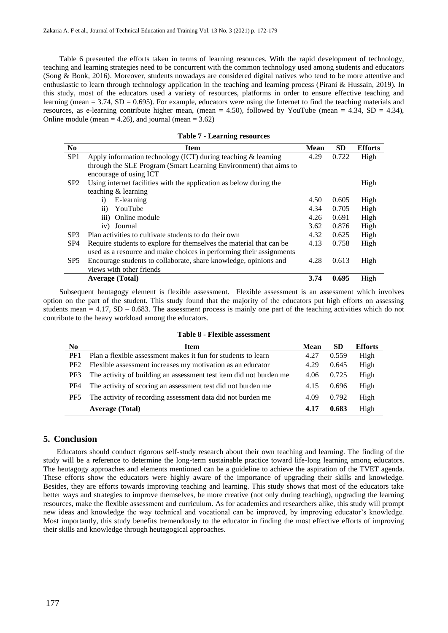Table 6 presented the efforts taken in terms of learning resources. With the rapid development of technology, teaching and learning strategies need to be concurrent with the common technology used among students and educators (Song & Bonk, 2016). Moreover, students nowadays are considered digital natives who tend to be more attentive and enthusiastic to learn through technology application in the teaching and learning process (Pirani & Hussain, 2019). In this study, most of the educators used a variety of resources, platforms in order to ensure effective teaching and learning (mean  $= 3.74$ , SD  $= 0.695$ ). For example, educators were using the Internet to find the teaching materials and resources, as e-learning contribute higher mean, (mean = 4.50), followed by YouTube (mean = 4.34, SD = 4.34), Online module (mean  $= 4.26$ ), and journal (mean  $= 3.62$ )

|  |  |  | <b>Table 7 - Learning resources</b> |
|--|--|--|-------------------------------------|
|--|--|--|-------------------------------------|

| N <sub>0</sub>  | <b>Item</b>                                                         | <b>Mean</b> | <b>SD</b> | <b>Efforts</b> |
|-----------------|---------------------------------------------------------------------|-------------|-----------|----------------|
| SP <sub>1</sub> | Apply information technology (ICT) during teaching $&$ learning     | 4.29        | 0.722     | High           |
|                 | through the SLE Program (Smart Learning Environment) that aims to   |             |           |                |
|                 | encourage of using ICT                                              |             |           |                |
| SP <sub>2</sub> | Using internet facilities with the application as below during the  |             |           | High           |
|                 | teaching & learning                                                 |             |           |                |
|                 | E-learning<br>i)                                                    | 4.50        | 0.605     | High           |
|                 | $\rm ii)$<br>YouTube                                                | 4.34        | 0.705     | High           |
|                 | iii) Online module                                                  | 4.26        | 0.691     | High           |
|                 | iv) Journal                                                         | 3.62        | 0.876     | High           |
| SP <sub>3</sub> | Plan activities to cultivate students to do their own               | 4.32        | 0.625     | High           |
| SP <sub>4</sub> | Require students to explore for themselves the material that can be | 4.13        | 0.758     | High           |
|                 | used as a resource and make choices in performing their assignments |             |           |                |
| SP <sub>5</sub> | Encourage students to collaborate, share knowledge, opinions and    | 4.28        | 0.613     | High           |
|                 | views with other friends                                            |             |           |                |
|                 | <b>Average (Total)</b>                                              | 3.74        | 0.695     | High           |

Subsequent heutagogy element is flexible assessment. Flexible assessment is an assessment which involves option on the part of the student. This study found that the majority of the educators put high efforts on assessing students mean  $= 4.17$ , SD – 0.683. The assessment process is mainly one part of the teaching activities which do not contribute to the heavy workload among the educators.

| N <sub>0</sub>  | Item                                                               | <b>Mean</b> | <b>SD</b> | <b>Efforts</b> |
|-----------------|--------------------------------------------------------------------|-------------|-----------|----------------|
| PF <sub>1</sub> | Plan a flexible assessment makes it fun for students to learn      | 4.27        | 0.559     | High           |
| PF <sub>2</sub> | Flexible assessment increases my motivation as an educator         | 4.29        | 0.645     | High           |
| PF3             | The activity of building an assessment test item did not burden me | 4.06        | 0.725     | High           |
| PF <sub>4</sub> | The activity of scoring an assessment test did not burden me       | 4.15        | 0.696     | High           |
| PF5             | The activity of recording assessment data did not burden me        | 4.09        | 0.792     | High           |
|                 | <b>Average (Total)</b>                                             | 4.17        | 0.683     | High           |

**Table 8 - Flexible assessment**

# **5. Conclusion**

Educators should conduct rigorous self-study research about their own teaching and learning. The finding of the study will be a reference to determine the long-term sustainable practice toward life-long learning among educators. The heutagogy approaches and elements mentioned can be a guideline to achieve the aspiration of the TVET agenda. These efforts show the educators were highly aware of the importance of upgrading their skills and knowledge. Besides, they are efforts towards improving teaching and learning. This study shows that most of the educators take better ways and strategies to improve themselves, be more creative (not only during teaching), upgrading the learning resources, make the flexible assessment and curriculum. As for academics and researchers alike, this study will prompt new ideas and knowledge the way technical and vocational can be improved, by improving educator's knowledge. Most importantly, this study benefits tremendously to the educator in finding the most effective efforts of improving their skills and knowledge through heutagogical approaches.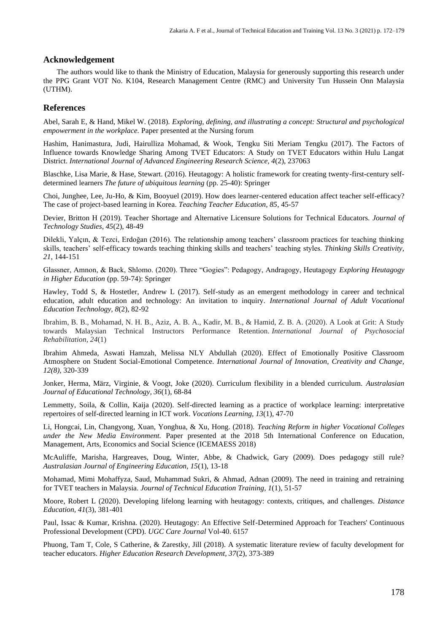#### **Acknowledgement**

The authors would like to thank the Ministry of Education, Malaysia for generously supporting this research under the PPG Grant VOT No. K104, Research Management Centre (RMC) and University Tun Hussein Onn Malaysia (UTHM).

#### **References**

Abel, Sarah E, & Hand, Mikel W. (2018). *Exploring, defining, and illustrating a concept: Structural and psychological empowerment in the workplace.* Paper presented at the Nursing forum

Hashim, Hanimastura, Judi, Hairulliza Mohamad, & Wook, Tengku Siti Meriam Tengku (2017). The Factors of Influence towards Knowledge Sharing Among TVET Educators: A Study on TVET Educators within Hulu Langat District. *International Journal of Advanced Engineering Research Science, 4*(2), 237063

Blaschke, Lisa Marie, & Hase, Stewart. (2016). Heutagogy: A holistic framework for creating twenty-first-century selfdetermined learners *The future of ubiquitous learning* (pp. 25-40): Springer

Choi, Junghee, Lee, Ju-Ho, & Kim, Booyuel (2019). How does learner-centered education affect teacher self-efficacy? The case of project-based learning in Korea. *Teaching Teacher Education, 85*, 45-57

Devier, Britton H (2019). Teacher Shortage and Alternative Licensure Solutions for Technical Educators. *Journal of Technology Studies, 45*(2), 48-49

Dilekli, Yalçın, & Tezci, Erdoğan (2016). The relationship among teachers' classroom practices for teaching thinking skills, teachers' self-efficacy towards teaching thinking skills and teachers' teaching styles. *Thinking Skills Creativity, 21*, 144-151

Glassner, Amnon, & Back, Shlomo. (2020). Three "Gogies": Pedagogy, Andragogy, Heutagogy *Exploring Heutagogy in Higher Education* (pp. 59-74): Springer

Hawley, Todd S, & Hostetler, Andrew L (2017). Self-study as an emergent methodology in career and technical education, adult education and technology: An invitation to inquiry. *International Journal of Adult Vocational Education Technology, 8*(2), 82-92

Ibrahim, B. B., Mohamad, N. H. B., Aziz, A. B. A., Kadir, M. B., & Hamid, Z. B. A. (2020). A Look at Grit: A Study towards Malaysian Technical Instructors Performance Retention. *International Journal of Psychosocial Rehabilitation*, *24*(1)

Ibrahim Ahmeda, Aswati Hamzah, Melissa NLY Abdullah (2020). Effect of Emotionally Positive Classroom Atmosphere on Student Social-Emotional Competence. *International Journal of Innovation, Creativity and Change, 12(8),* 320-339

Jonker, Herma, März, Virginie, & Voogt, Joke (2020). Curriculum flexibility in a blended curriculum. *Australasian Journal of Educational Technology, 36*(1), 68-84

Lemmetty, Soila, & Collin, Kaija (2020). Self-directed learning as a practice of workplace learning: interpretative repertoires of self-directed learning in ICT work. *Vocations Learning, 13*(1), 47-70

Li, Hongcai, Lin, Changyong, Xuan, Yonghua, & Xu, Hong. (2018). *Teaching Reform in higher Vocational Colleges under the New Media Environment.* Paper presented at the 2018 5th International Conference on Education, Management, Arts, Economics and Social Science (ICEMAESS 2018)

McAuliffe, Marisha, Hargreaves, Doug, Winter, Abbe, & Chadwick, Gary (2009). Does pedagogy still rule? *Australasian Journal of Engineering Education, 15*(1), 13-18

Mohamad, Mimi Mohaffyza, Saud, Muhammad Sukri, & Ahmad, Adnan (2009). The need in training and retraining for TVET teachers in Malaysia. *Journal of Technical Education Training, 1*(1), 51-57

Moore, Robert L (2020). Developing lifelong learning with heutagogy: contexts, critiques, and challenges. *Distance Education, 41*(3), 381-401

Paul, Issac & Kumar, Krishna. (2020). Heutagogy: An Effective Self-Determined Approach for Teachers' Continuous Professional Development (CPD). *UGC Care Journal* Vol-40. 6157

Phuong, Tam T, Cole, S Catherine, & Zarestky, Jill (2018). A systematic literature review of faculty development for teacher educators. *Higher Education Research Development, 37*(2), 373-389